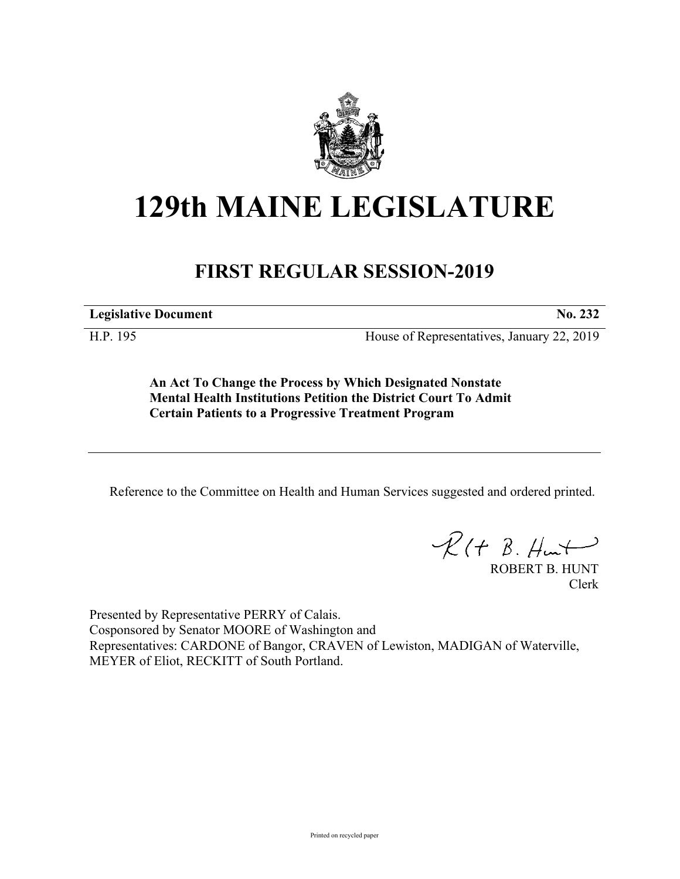

## **129th MAINE LEGISLATURE**

## **FIRST REGULAR SESSION-2019**

**Legislative Document No. 232**

H.P. 195 House of Representatives, January 22, 2019

**An Act To Change the Process by Which Designated Nonstate Mental Health Institutions Petition the District Court To Admit Certain Patients to a Progressive Treatment Program**

Reference to the Committee on Health and Human Services suggested and ordered printed.

 $\mathcal{R}(t \; \mathcal{B}, \mathcal{H}_{\mathsf{int}})$ 

ROBERT B. HUNT Clerk

Presented by Representative PERRY of Calais. Cosponsored by Senator MOORE of Washington and Representatives: CARDONE of Bangor, CRAVEN of Lewiston, MADIGAN of Waterville, MEYER of Eliot, RECKITT of South Portland.